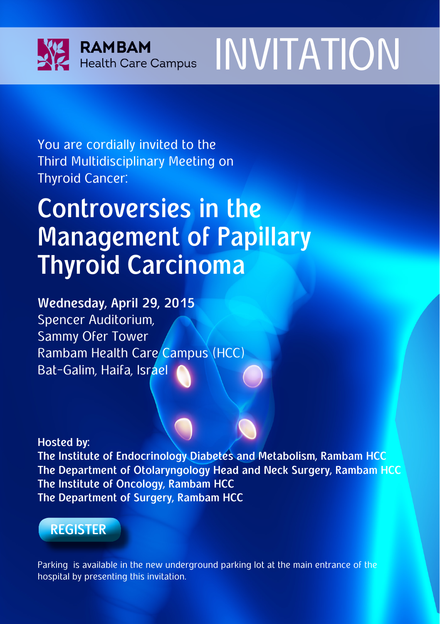



You are cordially invited to the Third Multidisciplinary Meeting on Thyroid Cancer:

# **Controversies in the Management of Papillary Thyroid Carcinoma**

**Wednesday, April 29, 2015** Spencer Auditorium, Sammy Ofer Tower Rambam Health Care Campus (HCC) Bat-Galim, Haifa, Israel

**Hosted by:**

**The Institute of Endocrinology Diabetes and Metabolism, Rambam HCC The Department of Otolaryngology Head and Neck Surgery, Rambam HCC The Institute of Oncology, Rambam HCC The Department of Surgery, Rambam HCC**

## **[REGISTER](https://docs.google.com/forms/d/11zft27nMMIW2ZRm-1VGThGMR8u8BFfk0ATmJygZAnhU/viewform)**

Parking is available in the new underground parking lot at the main entrance of the hospital by presenting this invitation.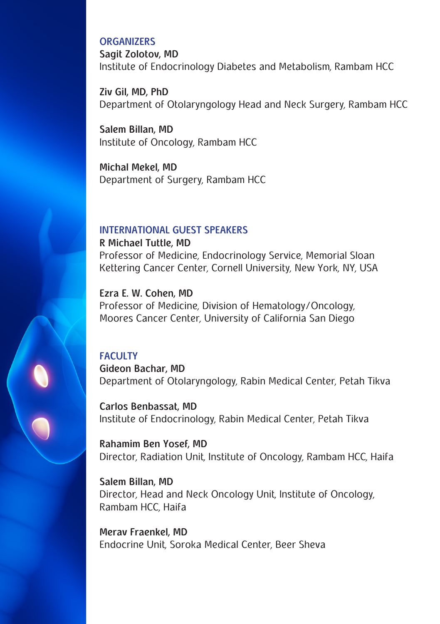#### **ORGANIZERS**

**Sagit Zolotov, MD**  Institute of Endocrinology Diabetes and Metabolism, Rambam HCC

**Ziv Gil, MD, PhD**  Department of Otolaryngology Head and Neck Surgery, Rambam HCC

**Salem Billan, MD**  Institute of Oncology, Rambam HCC

**Michal Mekel, MD**  Department of Surgery, Rambam HCC

#### **INTERNATIONAL GUEST SPEAKERS**

**R Michael Tuttle, MD** Professor of Medicine, Endocrinology Service, Memorial Sloan Kettering Cancer Center, Cornell University, New York, NY, USA

**Ezra E. W. Cohen, MD** Professor of Medicine, Division of Hematology/Oncology, Moores Cancer Center, University of California San Diego

#### **FACULTY**

**Gideon Bachar, MD** Department of Otolaryngology, Rabin Medical Center, Petah Tikva

**Carlos Benbassat, MD**  Institute of Endocrinology, Rabin Medical Center, Petah Tikva

**Rahamim Ben Yosef, MD** Director, Radiation Unit, Institute of Oncology, Rambam HCC, Haifa

**Salem Billan, MD**  Director, Head and Neck Oncology Unit, Institute of Oncology, Rambam HCC, Haifa

**Merav Fraenkel, MD** Endocrine Unit, Soroka Medical Center, Beer Sheva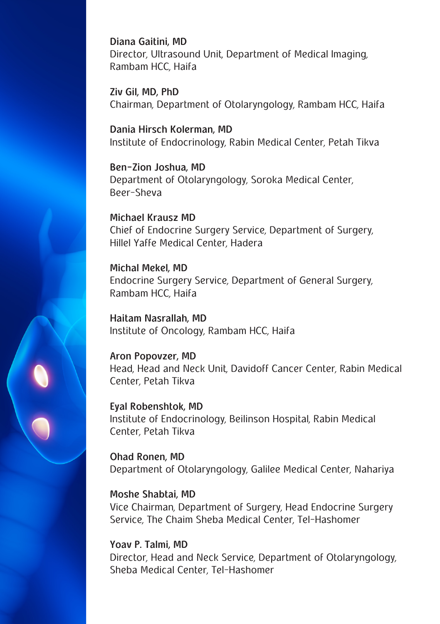**Diana Gaitini, MD** Director, Ultrasound Unit, Department of Medical Imaging, Rambam HCC, Haifa

**Ziv Gil, MD, PhD**  Chairman, Department of Otolaryngology, Rambam HCC, Haifa

**Dania Hirsch Kolerman, MD** Institute of Endocrinology, Rabin Medical Center, Petah Tikva

**Ben-Zion Joshua, MD**  Department of Otolaryngology, Soroka Medical Center, Beer-Sheva

**Michael Krausz MD** Chief of Endocrine Surgery Service, Department of Surgery, Hillel Yaffe Medical Center, Hadera

**Michal Mekel, MD**  Endocrine Surgery Service, Department of General Surgery, Rambam HCC, Haifa

**Haitam Nasrallah, MD**  Institute of Oncology, Rambam HCC, Haifa

**Aron Popovzer, MD** Head, Head and Neck Unit, Davidoff Cancer Center, Rabin Medical Center, Petah Tikva

**Eyal Robenshtok, MD**  Institute of Endocrinology, Beilinson Hospital, Rabin Medical Center, Petah Tikva

**Ohad Ronen, MD** Department of Otolaryngology, Galilee Medical Center, Nahariya

**Moshe Shabtai, MD** Vice Chairman, Department of Surgery, Head Endocrine Surgery Service, The Chaim Sheba Medical Center, Tel-Hashomer

**Yoav P. Talmi, MD**  Director, Head and Neck Service, Department of Otolaryngology, Sheba Medical Center, Tel-Hashomer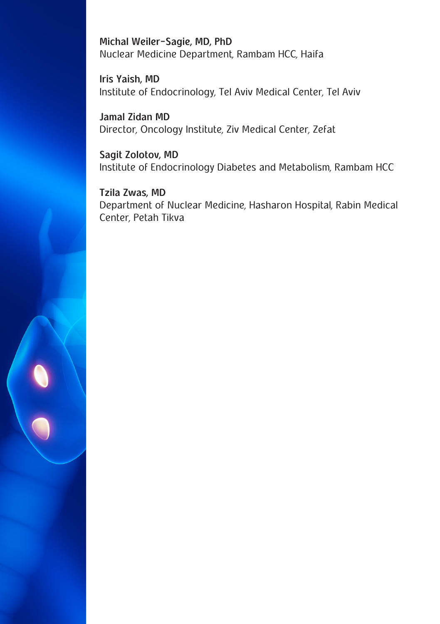**Michal Weiler-Sagie, MD, PhD** Nuclear Medicine Department, Rambam HCC, Haifa

**Iris Yaish, MD** Institute of Endocrinology, Tel Aviv Medical Center, Tel Aviv

**Jamal Zidan MD** Director, Oncology Institute, Ziv Medical Center, Zefat

**Sagit Zolotov, MD**  Institute of Endocrinology Diabetes and Metabolism, Rambam HCC

**Tzila Zwas, MD** Department of Nuclear Medicine, Hasharon Hospital, Rabin Medical Center, Petah Tikva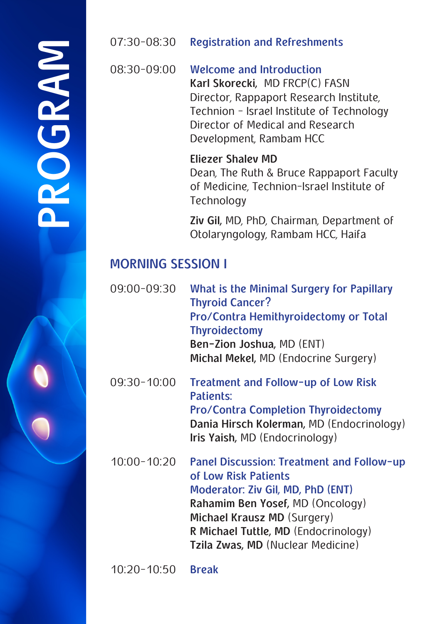# **PROGRAM**PROGRAM

#### 07:30-08:30 **Registration and Refreshments**

08:30-09:00 **Welcome and Introduction Karl Skorecki,** MD FRCP(C) FASN Director, Rappaport Research Institute, Technion - Israel Institute of Technology Director of Medical and Research Development, Rambam HCC

#### **Eliezer Shalev MD**

Dean, The Ruth & Bruce Rappaport Faculty of Medicine, Technion-Israel Institute of **Technology** 

**Ziv Gil,** MD, PhD, Chairman, Department of Otolaryngology, Rambam HCC, Haifa

# **MORNING SESSION I**

| 09:00-09:30     | What is the Minimal Surgery for Papillary<br><b>Thyroid Cancer?</b><br>Pro/Contra Hemithyroidectomy or Total<br><b>Thyroidectomy</b><br>Ben-Zion Joshua, MD (ENT)<br>Michal Mekel, MD (Endocrine Surgery)                                              |
|-----------------|--------------------------------------------------------------------------------------------------------------------------------------------------------------------------------------------------------------------------------------------------------|
| 09:30-10:00     | Treatment and Follow-up of Low Risk<br>Patients:<br><b>Pro/Contra Completion Thyroidectomy</b><br>Dania Hirsch Kolerman, MD (Endocrinology)<br>Iris Yaish, MD (Endocrinology)                                                                          |
| $10:00 - 10:20$ | Panel Discussion: Treatment and Follow-up<br>of Low Risk Patients<br>Moderator: Ziv Gil, MD, PhD (ENT)<br>Rahamim Ben Yosef, MD (Oncology)<br>Michael Krausz MD (Surgery)<br>R Michael Tuttle, MD (Endocrinology)<br>Tzila Zwas, MD (Nuclear Medicine) |
|                 |                                                                                                                                                                                                                                                        |

10:20-10:50 **Break**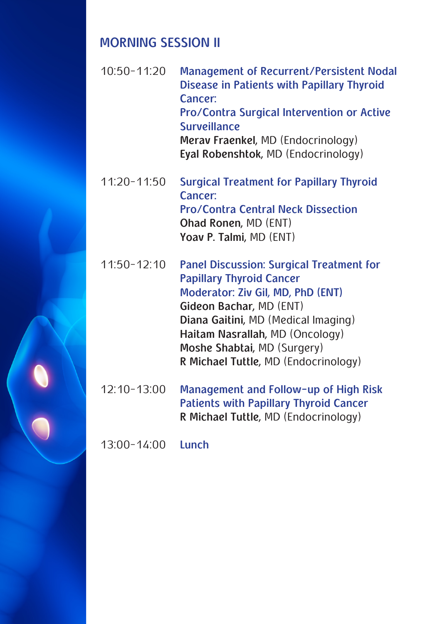### **MORNING SESSION II**

- 10:50-11:20 **Management of Recurrent/Persistent Nodal Disease in Patients with Papillary Thyroid Cancer: Pro/Contra Surgical Intervention or Active Surveillance Merav Fraenkel,** MD (Endocrinology) **Eyal Robenshtok,** MD (Endocrinology)
- 11:20-11:50 **Surgical Treatment for Papillary Thyroid Cancer: Pro/Contra Central Neck Dissection Ohad Ronen,** MD (ENT) **Yoav P. Talmi,** MD (ENT)
- 11:50-12:10 **Panel Discussion: Surgical Treatment for Papillary Thyroid Cancer Moderator: Ziv Gil, MD, PhD (ENT) Gideon Bachar,** MD (ENT) **Diana Gaitini,** MD (Medical Imaging) **Haitam Nasrallah,** MD (Oncology) **Moshe Shabtai,** MD (Surgery) **R Michael Tuttle,** MD (Endocrinology)
- 12:10-13:00 **Management and Follow-up of High Risk Patients with Papillary Thyroid Cancer R Michael Tuttle,** MD (Endocrinology)

13:00-14:00 **Lunch**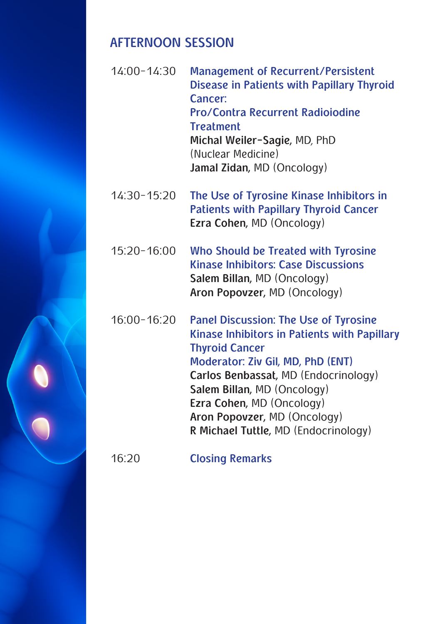#### **AFTERNOON SESSION**

- 14:00-14:30 **Management of Recurrent/Persistent Disease in Patients with Papillary Thyroid Cancer: Pro/Contra Recurrent Radioiodine Treatment Michal Weiler-Sagie,** MD, PhD (Nuclear Medicine) **Jamal Zidan,** MD (Oncology)
- 14:30-15:20 **The Use of Tyrosine Kinase Inhibitors in Patients with Papillary Thyroid Cancer Ezra Cohen,** MD (Oncology)
- 15:20-16:00 **Who Should be Treated with Tyrosine Kinase Inhibitors: Case Discussions Salem Billan,** MD (Oncology) **Aron Popovzer,** MD (Oncology)
- 16:00-16:20 **Panel Discussion: The Use of Tyrosine Kinase Inhibitors in Patients with Papillary Thyroid Cancer Moderator: Ziv Gil, MD, PhD (ENT) Carlos Benbassat,** MD (Endocrinology) **Salem Billan,** MD (Oncology) **Ezra Cohen,** MD (Oncology) **Aron Popovzer,** MD (Oncology) **R Michael Tuttle,** MD (Endocrinology)
- 16:20 **Closing Remarks**